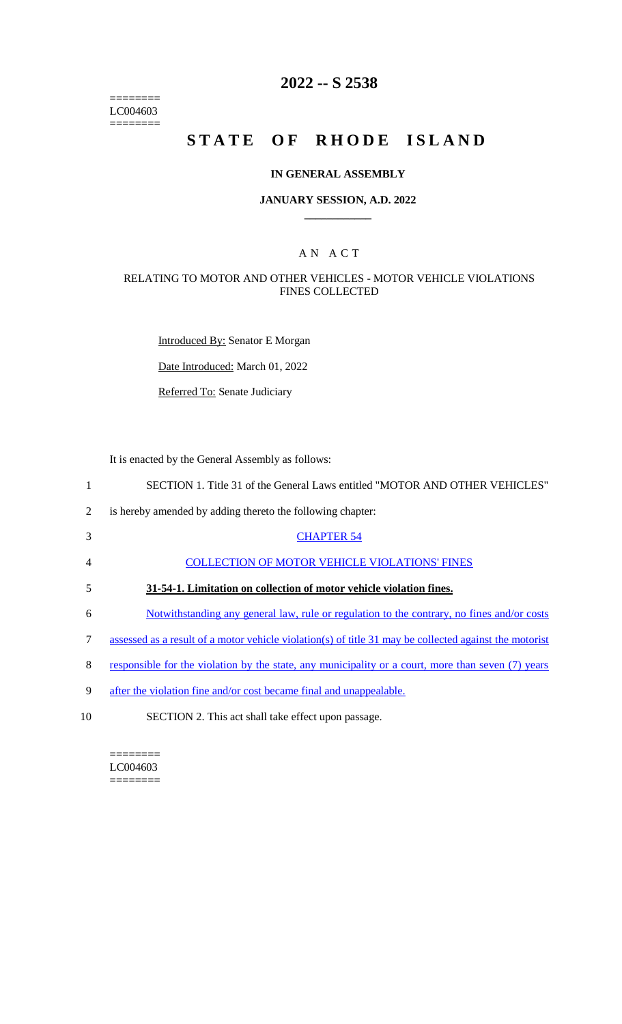======== LC004603  $=$ 

# **2022 -- S 2538**

# **STATE OF RHODE ISLAND**

## **IN GENERAL ASSEMBLY**

#### **JANUARY SESSION, A.D. 2022 \_\_\_\_\_\_\_\_\_\_\_\_**

## A N A C T

## RELATING TO MOTOR AND OTHER VEHICLES - MOTOR VEHICLE VIOLATIONS FINES COLLECTED

Introduced By: Senator E Morgan

Date Introduced: March 01, 2022

Referred To: Senate Judiciary

It is enacted by the General Assembly as follows:

| 1  | SECTION 1. Title 31 of the General Laws entitled "MOTOR AND OTHER VEHICLES"                            |
|----|--------------------------------------------------------------------------------------------------------|
| 2  | is hereby amended by adding thereto the following chapter:                                             |
| 3  | <b>CHAPTER 54</b>                                                                                      |
| 4  | <b>COLLECTION OF MOTOR VEHICLE VIOLATIONS' FINES</b>                                                   |
| 5  | 31-54-1. Limitation on collection of motor vehicle violation fines.                                    |
| 6  | Notwithstanding any general law, rule or regulation to the contrary, no fines and/or costs             |
| 7  | assessed as a result of a motor vehicle violation(s) of title 31 may be collected against the motorist |
| 8  | responsible for the violation by the state, any municipality or a court, more than seven (7) years     |
| 9  | after the violation fine and/or cost became final and unappealable.                                    |
| 10 | SECTION 2. This act shall take effect upon passage.                                                    |

======== LC004603

========